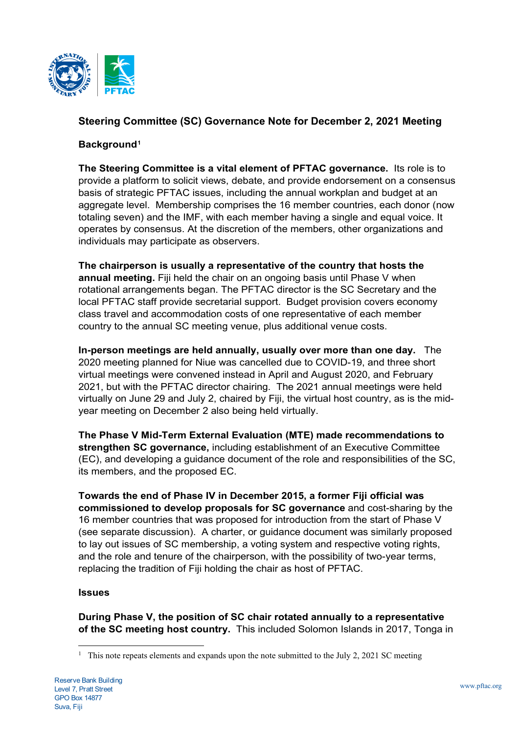

# **Steering Committee (SC) Governance Note for December 2, 2021 Meeting**

### **Background[1](#page-0-0)**

**The Steering Committee is a vital element of PFTAC governance.** Its role is to provide a platform to solicit views, debate, and provide endorsement on a consensus basis of strategic PFTAC issues, including the annual workplan and budget at an aggregate level. Membership comprises the 16 member countries, each donor (now totaling seven) and the IMF, with each member having a single and equal voice. It operates by consensus. At the discretion of the members, other organizations and individuals may participate as observers.

**The chairperson is usually a representative of the country that hosts the annual meeting.** Fiji held the chair on an ongoing basis until Phase V when rotational arrangements began. The PFTAC director is the SC Secretary and the local PFTAC staff provide secretarial support. Budget provision covers economy class travel and accommodation costs of one representative of each member country to the annual SC meeting venue, plus additional venue costs.

**In-person meetings are held annually, usually over more than one day.** The 2020 meeting planned for Niue was cancelled due to COVID-19, and three short virtual meetings were convened instead in April and August 2020, and February 2021, but with the PFTAC director chairing. The 2021 annual meetings were held virtually on June 29 and July 2, chaired by Fiji, the virtual host country, as is the midyear meeting on December 2 also being held virtually.

**The Phase V Mid-Term External Evaluation (MTE) made recommendations to strengthen SC governance,** including establishment of an Executive Committee (EC), and developing a guidance document of the role and responsibilities of the SC, its members, and the proposed EC.

**Towards the end of Phase IV in December 2015, a former Fiji official was commissioned to develop proposals for SC governance** and cost-sharing by the 16 member countries that was proposed for introduction from the start of Phase V (see separate discussion). A charter, or guidance document was similarly proposed to lay out issues of SC membership, a voting system and respective voting rights, and the role and tenure of the chairperson, with the possibility of two-year terms, replacing the tradition of Fiji holding the chair as host of PFTAC.

#### **Issues**

**During Phase V, the position of SC chair rotated annually to a representative of the SC meeting host country.** This included Solomon Islands in 2017, Tonga in

<span id="page-0-0"></span><sup>&</sup>lt;sup>1</sup> This note repeats elements and expands upon the note submitted to the July 2, 2021 SC meeting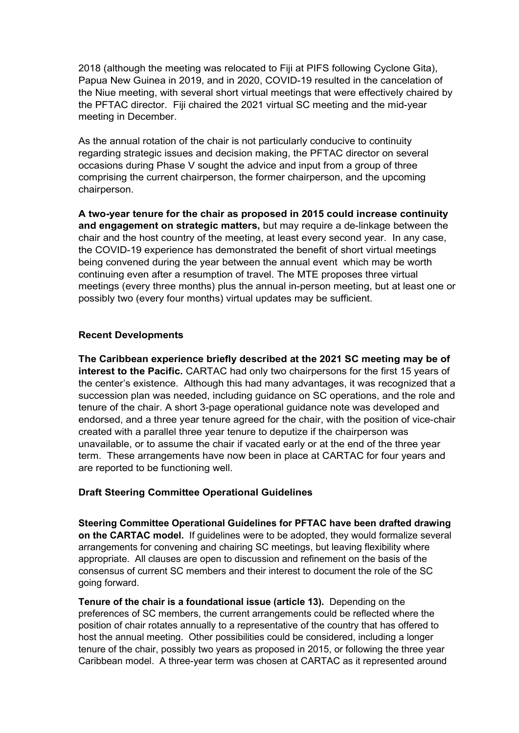2018 (although the meeting was relocated to Fiji at PIFS following Cyclone Gita), Papua New Guinea in 2019, and in 2020, COVID-19 resulted in the cancelation of the Niue meeting, with several short virtual meetings that were effectively chaired by the PFTAC director. Fiji chaired the 2021 virtual SC meeting and the mid-year meeting in December.

As the annual rotation of the chair is not particularly conducive to continuity regarding strategic issues and decision making, the PFTAC director on several occasions during Phase V sought the advice and input from a group of three comprising the current chairperson, the former chairperson, and the upcoming chairperson.

**A two-year tenure for the chair as proposed in 2015 could increase continuity and engagement on strategic matters,** but may require a de-linkage between the chair and the host country of the meeting, at least every second year. In any case, the COVID-19 experience has demonstrated the benefit of short virtual meetings being convened during the year between the annual event which may be worth continuing even after a resumption of travel. The MTE proposes three virtual meetings (every three months) plus the annual in-person meeting, but at least one or possibly two (every four months) virtual updates may be sufficient.

### **Recent Developments**

**The Caribbean experience briefly described at the 2021 SC meeting may be of interest to the Pacific.** CARTAC had only two chairpersons for the first 15 years of the center's existence. Although this had many advantages, it was recognized that a succession plan was needed, including guidance on SC operations, and the role and tenure of the chair. A short 3-page operational guidance note was developed and endorsed, and a three year tenure agreed for the chair, with the position of vice-chair created with a parallel three year tenure to deputize if the chairperson was unavailable, or to assume the chair if vacated early or at the end of the three year term. These arrangements have now been in place at CARTAC for four years and are reported to be functioning well.

## **Draft Steering Committee Operational Guidelines**

**Steering Committee Operational Guidelines for PFTAC have been drafted drawing on the CARTAC model.** If guidelines were to be adopted, they would formalize several arrangements for convening and chairing SC meetings, but leaving flexibility where appropriate. All clauses are open to discussion and refinement on the basis of the consensus of current SC members and their interest to document the role of the SC going forward.

**Tenure of the chair is a foundational issue (article 13).** Depending on the preferences of SC members, the current arrangements could be reflected where the position of chair rotates annually to a representative of the country that has offered to host the annual meeting. Other possibilities could be considered, including a longer tenure of the chair, possibly two years as proposed in 2015, or following the three year Caribbean model. A three-year term was chosen at CARTAC as it represented around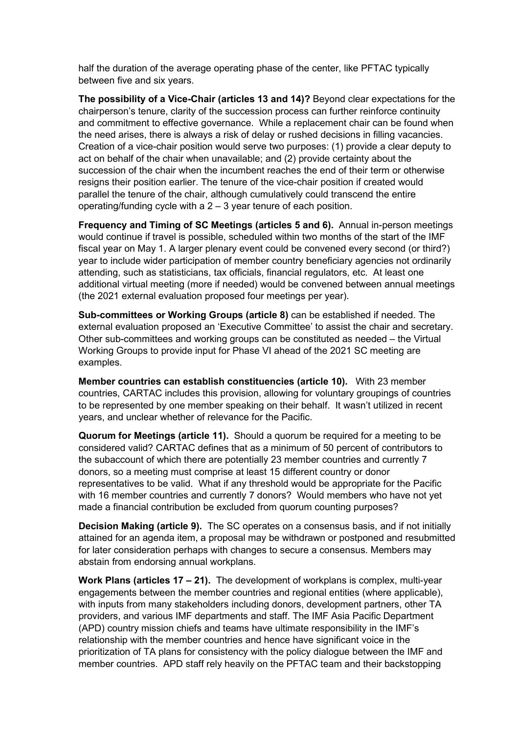half the duration of the average operating phase of the center, like PFTAC typically between five and six years.

**The possibility of a Vice-Chair (articles 13 and 14)?** Beyond clear expectations for the chairperson's tenure, clarity of the succession process can further reinforce continuity and commitment to effective governance. While a replacement chair can be found when the need arises, there is always a risk of delay or rushed decisions in filling vacancies. Creation of a vice-chair position would serve two purposes: (1) provide a clear deputy to act on behalf of the chair when unavailable; and (2) provide certainty about the succession of the chair when the incumbent reaches the end of their term or otherwise resigns their position earlier. The tenure of the vice-chair position if created would parallel the tenure of the chair, although cumulatively could transcend the entire operating/funding cycle with a 2 – 3 year tenure of each position.

**Frequency and Timing of SC Meetings (articles 5 and 6).** Annual in-person meetings would continue if travel is possible, scheduled within two months of the start of the IMF fiscal year on May 1. A larger plenary event could be convened every second (or third?) year to include wider participation of member country beneficiary agencies not ordinarily attending, such as statisticians, tax officials, financial regulators, etc. At least one additional virtual meeting (more if needed) would be convened between annual meetings (the 2021 external evaluation proposed four meetings per year).

**Sub-committees or Working Groups (article 8)** can be established if needed. The external evaluation proposed an 'Executive Committee' to assist the chair and secretary. Other sub-committees and working groups can be constituted as needed – the Virtual Working Groups to provide input for Phase VI ahead of the 2021 SC meeting are examples.

**Member countries can establish constituencies (article 10).** With 23 member countries, CARTAC includes this provision, allowing for voluntary groupings of countries to be represented by one member speaking on their behalf. It wasn't utilized in recent years, and unclear whether of relevance for the Pacific.

**Quorum for Meetings (article 11).** Should a quorum be required for a meeting to be considered valid? CARTAC defines that as a minimum of 50 percent of contributors to the subaccount of which there are potentially 23 member countries and currently 7 donors, so a meeting must comprise at least 15 different country or donor representatives to be valid. What if any threshold would be appropriate for the Pacific with 16 member countries and currently 7 donors? Would members who have not yet made a financial contribution be excluded from quorum counting purposes?

**Decision Making (article 9).** The SC operates on a consensus basis, and if not initially attained for an agenda item, a proposal may be withdrawn or postponed and resubmitted for later consideration perhaps with changes to secure a consensus. Members may abstain from endorsing annual workplans.

**Work Plans (articles 17 – 21).** The development of workplans is complex, multi-year engagements between the member countries and regional entities (where applicable), with inputs from many stakeholders including donors, development partners, other TA providers, and various IMF departments and staff. The IMF Asia Pacific Department (APD) country mission chiefs and teams have ultimate responsibility in the IMF's relationship with the member countries and hence have significant voice in the prioritization of TA plans for consistency with the policy dialogue between the IMF and member countries. APD staff rely heavily on the PFTAC team and their backstopping